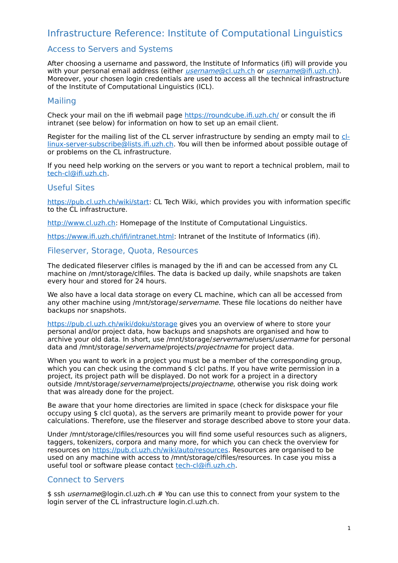# Infrastructure Reference: Institute of Computational Linguistics

# Access to Servers and Systems

After choosing a username and password, the Institute of Informatics (ifi) will provide you with your personal email address (either *[username](mailto:username@cl.uzh.ch)*[@cl.uzh.ch](mailto:username@cl.uzh.ch) or username[@ifi.uzh.ch\)](mailto:username@cl.uzh.ch). Moreover, your chosen login credentials are used to access all the technical infrastructure of the Institute of Computational Linguistics (ICL).

### Mailing

Check your mail on the ifi webmail page<https://roundcube.ifi.uzh.ch/>or consult the ifi intranet (see below) for information on how to set up an email client.

Register for the mailing list of the CL server infrastructure by sending an empty mail to [cl](mailto:cl-linux-server-subscribe@lists.ifi.uzh.ch)[linux-server-subscribe@lists.ifi.uzh.ch.](mailto:cl-linux-server-subscribe@lists.ifi.uzh.ch) You will then be informed about possible outage of or problems on the CL infrastructure.

If you need help working on the servers or you want to report a technical problem, mail to [tech-cl@ifi.uzh.ch.](mailto:tech-cl@ifi.uzh.ch)

### Useful Sites

[https://pub.cl.uzh.ch/wiki/start:](https://pub.cl.uzh.ch/wiki/start) CL Tech Wiki, which provides you with information specific to the CL infrastructure.

[http://www.cl.uzh.ch:](http://www.cl.uzh.ch/) Homepage of the Institute of Computational Linguistics.

[https://www.ifi.uzh.ch/ifi/intranet.html:](https://www.ifi.uzh.ch/ifi/intranet.html) Intranet of the Institute of Informatics (ifi).

### Fileserver, Storage, Quota, Resources

The dedicated fileserver clfiles is managed by the ifi and can be accessed from any CL machine on /mnt/storage/clfiles. The data is backed up daily, while snapshots are taken every hour and stored for 24 hours.

We also have a local data storage on every CL machine, which can all be accessed from any other machine using /mnt/storage/servername. These file locations do neither have backups nor snapshots.

https://pub.cl.uzh.ch/wiki/doku/storage gives you an overview of where to store your personal and/or project data, how backups and snapshots are organised and how to archive your old data. In short, use /mnt/storage/servername/users/username for personal data and /mnt/storage/servername/projects/projectname for project data.

When you want to work in a project you must be a member of the corresponding group, which you can check using the command \$ clcl paths. If you have write permission in a project, its project path will be displayed. Do not work for a project in a directory outside /mnt/storage/servername/projects/projectname, otherwise you risk doing work that was already done for the project.

Be aware that your home directories are limited in space (check for diskspace your file occupy using \$ clcl quota), as the servers are primarily meant to provide power for your calculations. Therefore, use the fileserver and storage described above to store your data.

Under /mnt/storage/clfiles/resources you will find some useful resources such as aligners, taggers, tokenizers, corpora and many more, for which you can check the overview for resources on [https://pub.cl.uzh.ch/wiki/auto/resources.](https://pub.cl.uzh.ch/wiki/auto/resources) Resources are organised to be used on any machine with access to /mnt/storage/clfiles/resources. In case you miss a useful tool or software please contact [tech-cl@ifi.uzh.ch.](mailto:tech-cl@ifi.uzh.ch)

# Connect to Servers

\$ ssh *username*@login.cl.uzh.ch # You can use this to connect from your system to the login server of the CL infrastructure login.cl.uzh.ch.